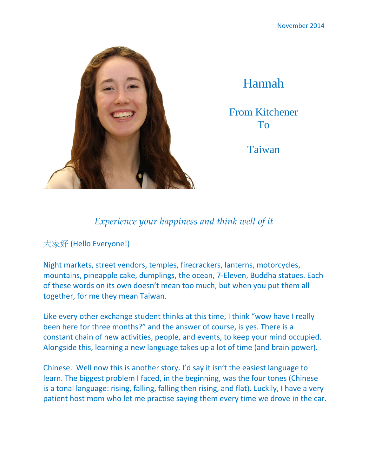

Hannah

From Kitchener To

Taiwan

## *Experience your happiness and think well of it*

大家好 (Hello Everyone!)

Night markets, street vendors, temples, firecrackers, lanterns, motorcycles, mountains, pineapple cake, dumplings, the ocean, 7-Eleven, Buddha statues. Each of these words on its own doesn't mean too much, but when you put them all together, for me they mean Taiwan.

Like every other exchange student thinks at this time, I think "wow have I really been here for three months?" and the answer of course, is yes. There is a constant chain of new activities, people, and events, to keep your mind occupied. Alongside this, learning a new language takes up a lot of time (and brain power).

Chinese. Well now this is another story. I'd say it isn't the easiest language to learn. The biggest problem I faced, in the beginning, was the four tones (Chinese is a tonal language: rising, falling, falling then rising, and flat). Luckily, I have a very patient host mom who let me practise saying them every time we drove in the car.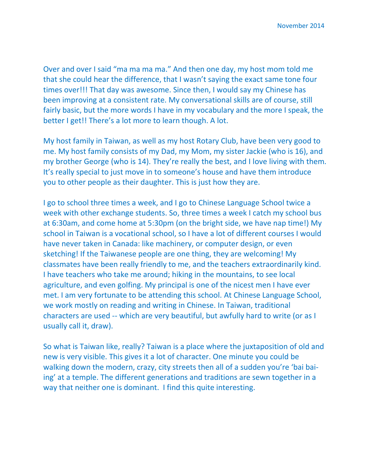November 2014

Over and over I said "ma ma ma ma." And then one day, my host mom told me that she could hear the difference, that I wasn't saying the exact same tone four times over!!! That day was awesome. Since then, I would say my Chinese has been improving at a consistent rate. My conversational skills are of course, still fairly basic, but the more words I have in my vocabulary and the more I speak, the better I get!! There's a lot more to learn though. A lot.

My host family in Taiwan, as well as my host Rotary Club, have been very good to me. My host family consists of my Dad, my Mom, my sister Jackie (who is 16), and my brother George (who is 14). They're really the best, and I love living with them. It's really special to just move in to someone's house and have them introduce you to other people as their daughter. This is just how they are.

I go to school three times a week, and I go to Chinese Language School twice a week with other exchange students. So, three times a week I catch my school bus at 6:30am, and come home at 5:30pm (on the bright side, we have nap time!) My school in Taiwan is a vocational school, so I have a lot of different courses I would have never taken in Canada: like machinery, or computer design, or even sketching! If the Taiwanese people are one thing, they are welcoming! My classmates have been really friendly to me, and the teachers extraordinarily kind. I have teachers who take me around; hiking in the mountains, to see local agriculture, and even golfing. My principal is one of the nicest men I have ever met. I am very fortunate to be attending this school. At Chinese Language School, we work mostly on reading and writing in Chinese. In Taiwan, traditional characters are used -- which are very beautiful, but awfully hard to write (or as I usually call it, draw).

So what is Taiwan like, really? Taiwan is a place where the juxtaposition of old and new is very visible. This gives it a lot of character. One minute you could be walking down the modern, crazy, city streets then all of a sudden you're 'bai baiing' at a temple. The different generations and traditions are sewn together in a way that neither one is dominant. I find this quite interesting.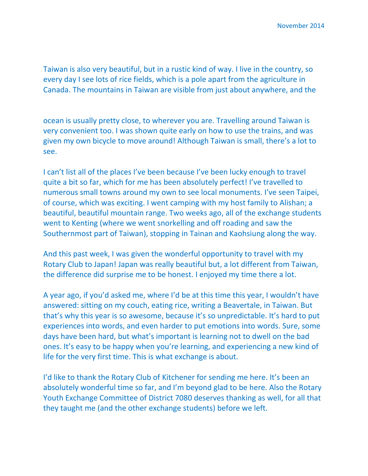Taiwan is also very beautiful, but in a rustic kind of way. I live in the country, so every day I see lots of rice fields, which is a pole apart from the agriculture in Canada. The mountains in Taiwan are visible from just about anywhere, and the

ocean is usually pretty close, to wherever you are. Travelling around Taiwan is very convenient too. I was shown quite early on how to use the trains, and was given my own bicycle to move around! Although Taiwan is small, there's a lot to see.

I can't list all of the places I've been because I've been lucky enough to travel quite a bit so far, which for me has been absolutely perfect! I've travelled to numerous small towns around my own to see local monuments. I've seen Taipei, of course, which was exciting. I went camping with my host family to Alishan; a beautiful, beautiful mountain range. Two weeks ago, all of the exchange students went to Kenting (where we went snorkelling and off roading and saw the Southernmost part of Taiwan), stopping in Tainan and Kaohsiung along the way.

And this past week, I was given the wonderful opportunity to travel with my Rotary Club to Japan! Japan was really beautiful but, a lot different from Taiwan, the difference did surprise me to be honest. I enjoyed my time there a lot.

A year ago, if you'd asked me, where I'd be at this time this year, I wouldn't have answered: sitting on my couch, eating rice, writing a Beavertale, in Taiwan. But that's why this year is so awesome, because it's so unpredictable. It's hard to put experiences into words, and even harder to put emotions into words. Sure, some days have been hard, but what's important is learning not to dwell on the bad ones. It's easy to be happy when you're learning, and experiencing a new kind of life for the very first time. This is what exchange is about.

I'd like to thank the Rotary Club of Kitchener for sending me here. It's been an absolutely wonderful time so far, and I'm beyond glad to be here. Also the Rotary Youth Exchange Committee of District 7080 deserves thanking as well, for all that they taught me (and the other exchange students) before we left.